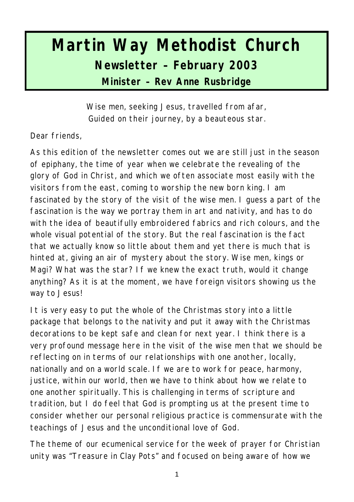# **Martin Way Methodist Church Newsletter – February 2003 Minister – Rev Anne Rusbridge**

*Wise men, seeking Jesus, travelled from afar, Guided on their journey, by a beauteous star.*

Dear friends,

As this edition of the newsletter comes out we are still just in the season of epiphany, the time of year when we celebrate the revealing of the glory of God in Christ, and which we often associate most easily with the visitors from the east, coming to worship the new born king. I am fascinated by the story of the visi t of the wise men. I guess a part of the fascination is the way we portray them in art and nativity, and has to do with the idea of beautifully embroidered fabrics and rich colours, and the whole visual potential of the story. But the real fascination is the fact that we actually know so little about them and yet there is much that is hinted at, giving an air of mystery about the story. Wise men, kings or Magi? What was the star? If we knew the exact truth, would it change anything? As it is at the moment, we have foreign visitors showing us the way to Jesus!

It is very easy to put the whole of the Christmas story into a little package that belongs to the nativity and put it away with the Christmas decorations to be kept safe and clean for next year. I think there is a very profound message here in the visit of the wise men that we should be reflecting on in terms of our relationships with one another, locally, nationally and on a world scale. If we are to work for peace, harmony, justice, within our world, then we have to think about how we relate to one another spiritually. This is challenging in terms of scripture and tradition, but I do feel that God is prompting us at the present time to consider whether our personal religious practice is commensurate with the teachings of Jesus and the unconditional love of God.

The theme of our ecumenical service for the week of prayer for Christian unity was "Treasure in Clay Pots" and focused on being aware of how we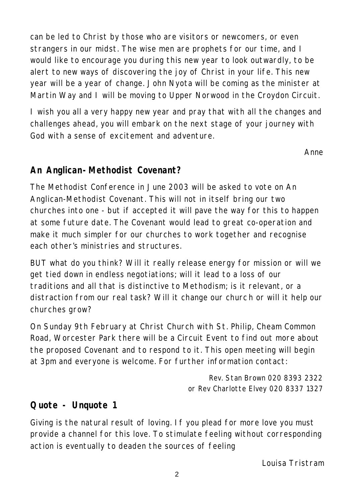can be led to Christ by those who are visitors or newcomers, or even strangers in our midst. The wise men are prophets for our time, and I would like to encourage you during this new year to look outwardly, to be alert to new ways of discovering the joy of Christ in your life. This new year will be a year of change. John Nyota will be coming as the minister at Martin Way and I will be moving to Upper Norwood in the Croydon Circuit.

I wish you all a very happy new year and pray that with all the changes and challenges ahead, you will embark on the next stage of your journey with God with a sense of excitement and adventure.

*Anne*

## **An Anglican-Methodist Covenant?**

The Methodist Conference in June 2003 will be asked to vote on An Anglican-Methodist Covenant. This will not in itself bring our two churches into one - but if accepted it will pave the way for this to happen at some future date. The Covenant would lead to great co-operation and make it much simpler for our churches to work together and recognise each other's ministries and structures.

BUT what do you think? Will it really release energy for mission or will we get tied down in endless negotiations; will it lead to a loss of our traditions and all that is distinctive to Methodism; is it relevant, or a distraction from our real task? Will it change our churc h or will it help our churches grow?

On Sunday 9th February at Christ Church with St. Philip, Cheam Common Road, Worcester Park there will be a Circuit Event to find out more about the proposed Covenant and to respond to it. This open meeting will begin at 3pm and everyone is welcome. For further information contact:

> *Rev. Stan Brown 020 8393 2322 or Rev Charlotte Elvey 020 8337 1327*

## **Quote - Unquote 1**

Giving is the natural result of loving. If you plead for more love you must provide a channel for this love. To stimulate feeling without corresponding action is eventually to deaden the sources of feeling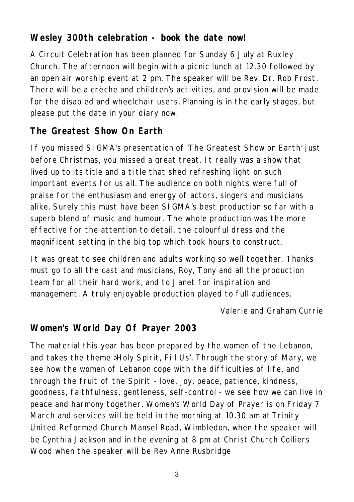## **Wesley 300th celebration - book the date now!**

A Circuit Celebration has been planned for Sunday 6 July at Ruxley Church. The afternoon will begin with a picnic lunch at 12.30 followed by an open air worship event at 2 pm. The speaker will be Rev. Dr. Rob Frost. There will be a crèche and children's activities, and provision will be made for the disabled and wheelchair users. Planning is in the early stages, but please put the date in your diary now.

# **The Greatest Show On Earth**

If you missed SIGMA's presentation of 'The Greatest Show on Earth' just before Christmas, you missed a great treat. It really was a show that lived up to its title and a ti tle that shed refreshing light on such important events for us all. The audience on both nights were full of praise for the enthusiasm and energy of actors, singers and musicians alike. Surely this must have been SIGMA's best production so far with a superb blend of music and humour. The whole production was the more effective for the attention to detail, the colourful dress and the magnificent setting in the big top which took hours to construct.

It was great to see children and adults working so well together. Thanks must go to all the cast and musicians, Roy, Tony and all the production team for all their hard work, and to Janet for inspiration and management. A truly enjoyable production played to full audiences.

#### *Valerie and Graham Currie*

## **Women's World Day Of Prayer 2003**

The material this year has been prepared by the women of the Lebanon, and takes the theme >Holy Spirit, Fill Us'. Through the story of Mary, we see how the women of Lebanon cope with the difficulties of life, and through the fruit of the Spirit - love, joy, peace, patience, kindness, goodness, faithfulness, gentleness, self-control - we see how we can live in peace and harmony together. Women's World Day of Prayer is on Friday 7 March and services will be held in the morning at 10.30 am at Trinity United Reformed Church Mansel Road, Wimbledon, when the speaker will be Cynthia Jackson and in the evening at 8 pm at Christ Church Colliers Wood when the speaker will be Rev Anne Rusbridge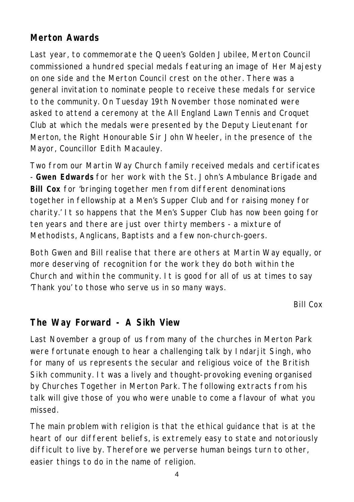## **Merton Awards**

Last year, to commemorate the Queen's Golden Jubilee, Merton Council commissioned a hundred special medals featuring an image of Her Majesty on one side and the Merton Council crest on the other. There was a general invitation to nominate people to receive these medals for service to the community. On Tuesday 19th November those nominated were asked to attend a ceremony at the All England Lawn Tennis and Croquet Club at which the medals were presented by the Deputy Lieutenant for Merton, the Right Honourable Sir John Wheeler, in the presence of the Mayor, Councillor Edith Macauley.

Two from our Martin Way Church family received medals and certificates - **Gwen Edwards** for her work with the St. John's Ambulance Brigade and **Bill Cox** for 'bringing together men from different denominations together in fellowship at a Men's Supper Club and for raising money for charity.' It so happens that the Men's Supper Club has now been going for ten years and there are just over thirty members - a mixture of Methodists, Anglicans, Baptists and a few non-church-goers.

Both Gwen and Bill realise that there are others at Martin Way equally, or more deserving of recognition for the work they do both within the Church and within the community. It is good for all of us at times to say 'Thank you' to those who serve us in so many ways.

*Bill Cox*

#### **The Way Forward - A Sikh View**

Last November a group of us from many of the churches in Merton Park were fortunate enough to hear a challenging talk by Indarjit Singh, who for many of us represents the secular and religious voice of the British Sikh community. It was a lively and thought-provoking evening organised by Churches Together in Merton Park. The following extracts from his talk will give those of you who were unable to come a flavour of what you missed.

The main problem with religion is that the ethical guidance that is at the heart of our different beliefs, is extremely easy to state and notoriously difficult to live by. Therefore we perverse human beings turn to other, easier things to do in the name of religion.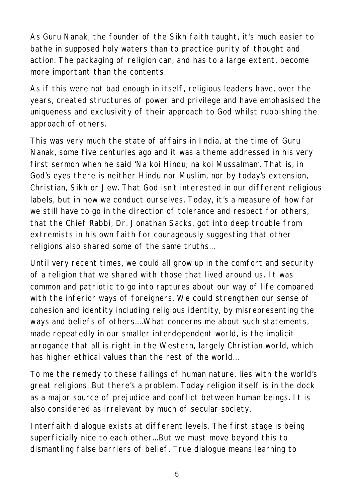As Guru Nanak, the founder of the Sikh faith taught, it's much easier to bathe in supposed holy waters than to practice purity of thought and action. The packaging of religion can, and has to a large extent, become more important than the contents.

As if this were not bad enough in itself, religious leaders have, over the years, created structures of power and privilege and have emphasised the uniqueness and exclusivity of their approach to God whilst rubbishing the approach of others.

This was very much the state of affairs in India, at the time of Guru Nanak, some five centuries ago and it was a theme addressed in his very first sermon when he said 'Na koi Hindu; na koi Mussalman'. That is, in God's eyes there is neither Hindu nor Muslim, nor by today's extension, Christian, Sikh or Jew. That God isn't interested in our different religious labels, but in how we conduct ourselves. Today, it's a measure of how far we still have to go in the direction of tolerance and respect for others, that the Chief Rabbi, Dr. Jonathan Sacks, got into deep trouble from extremists in his own faith for courageously suggesting that other religions also shared some of the same truths...

Until very recent times, we could all grow up in the comfort and security of a religion that we shared with those that lived around us. It was common and patriotic to go into raptures about our way of life compared with the inferior ways of foreigners. We could strengthen our sense of cohesion and identity including religious identity, by misrepresenting the ways and beliefs of others....What concerns me about such statements, made repeatedly in our smaller interdependent world, is the implicit arrogance that all is right in the Western, largely Christian world, which has higher ethical values than the rest of the world...

To me the remedy to these failings of human nature, lies with the world's great religions. But there's a problem. Today religion itself is in the dock as a major source of prejudice and conflict between human beings. It is also considered as irrelevant by much of secular society.

Interfaith dialogue exists at different levels. The first stage is being superficially nice to each other...But we must move beyond this to dismantling false barriers of belief. True dialogue means learning to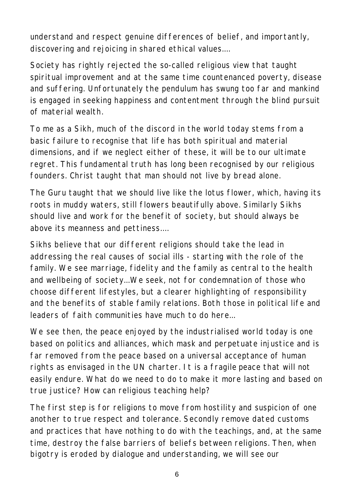understand and respect genuine differences of belief, and importantly, discovering and rejoicing in shared ethical values....

Society has rightly rejected the so-called religious view that taught spiritual improvement and at the same time countenanced poverty, disease and suffering. Unfortunately the pendulum has swung too far and mankind is engaged in seeking happiness and contentment through the blind pursuit of material wealth.

To me as a Sikh, much of the discord in the world today stems from a basic failure to recognise that life has both spiritual and material dimensions, and if we neglect either of these, it will be to our ultimate regret. This fundamental truth has long been recognised by our religious founders. Christ taught that man should not live by bread alone.

The Guru taught that we should live like the lotus flower, which, having its roots in muddy waters, still flowers beautifully above. Similarly Sikhs should live and work for the benefit of society, but should always be above its meanness and pettiness....

Sikhs believe that our different religions should take the lead in addressing the real causes of social ills - starting with the role of the family. We see marriage, fidelity and the family as central to the health and wellbeing of society...We seek, not for condemnation of those who choose different lifestyles, but a clearer highlighting of responsibility and the benefits of stable family relations. Both those in political life and leaders of faith communities have much to do here...

We see then, the peace enjoyed by the industrialised world today is one based on politics and alliances, which mask and perpetuate injustice and is far removed from the peace based on a universal acceptance of human rights as envisaged in the UN charter. It is a fragile peace that will not easily endure. What do we need to do to make it more lasting and based on true justice? How can religious teaching help?

The first step is for religions to move from hostility and suspicion of one another to true respect and tolerance. Secondly remove dated customs and practices that have nothing to do with the teachings, and, at the same time, destroy the false barriers of beliefs between religions. Then, when bigotry is eroded by dialogue and understanding, we will see our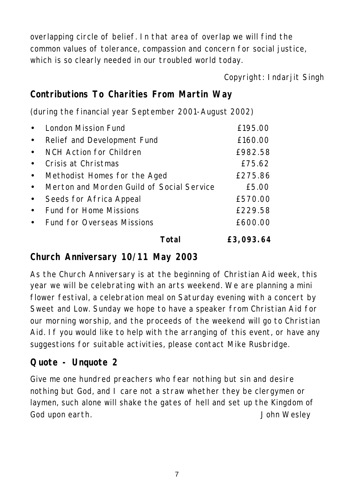overlapping circle of belief. In that area of overlap we will find the common values of tolerance, compassion and concern for social justice, which is so clearly needed in our troubled world today.

*Copyright: Indarjit Singh*

## **Contributions To Charities From Martin Way**

(during the financial year September 2001-August 2002)

|           | Total                                     | £3,093.64 |
|-----------|-------------------------------------------|-----------|
| $\bullet$ | Fund for Overseas Missions                | £600.00   |
| $\bullet$ | Fund for Home Missions                    | £229.58   |
| $\bullet$ | Seeds for Africa Appeal                   | £570.00   |
| $\bullet$ | Merton and Morden Guild of Social Service | £5.00     |
| $\bullet$ | Methodist Homes for the Aged              | £275.86   |
| $\bullet$ | Crisis at Christmas                       | £75.62    |
| $\bullet$ | NCH Action for Children                   | £982.58   |
| $\bullet$ | Relief and Development Fund               | £160.00   |
| $\bullet$ | London Mission Fund                       | £195.00   |

# **Church Anniversary 10/11 May 2003**

As the Church Anniversary is at the beginning of Christian Aid week, this year we will be celebrating with an arts weekend. We are planning a mini flower festival, a celebration meal on Saturday evening with a concert by Sweet and Low. Sunday we hope to have a speaker from Christian Aid for our morning worship, and the proceeds of the weekend will go to Christian Aid. If you would like to help with the arranging of this event, or have any suggestions for suitable activities, please contact Mike Rusbridge.

## **Quote - Unquote 2**

Give me one hundred preachers who fear nothing but sin and desire nothing but God, and I care not a straw whether they be clergymen or laymen, such alone will shake the gates of hell and set up the Kingdom of God upon earth. *John Wesley*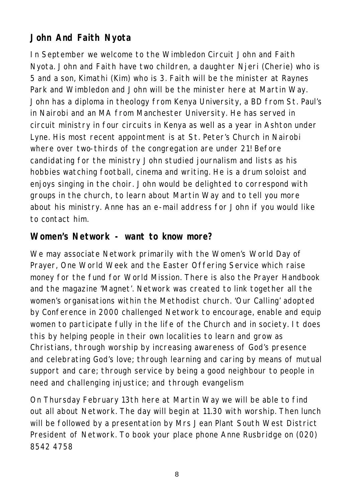# **John And Faith Nyota**

In September we welcome to the Wimbledon Circuit John and Faith Nyota. John and Faith have two children, a daughter Njeri (Cherie) who is 5 and a son, Kimathi (Kim) who is 3. Faith will be the minister at Raynes Park and Wimbledon and John will be the minister here at Martin Way. John has a diploma in theology from Kenya University, a BD from St. Paul's in Nairobi and an MA from Manchester University. He has served in circuit ministry in four circuits in Kenya as well as a year in Ashton under Lyne. His most recent appointment is at St. Peter's Church in Nairobi where over two-thirds of the congregation are under 21! Before candidating for the ministry John studied journalism and lists as his hobbies watching football, cinema and writing. He is a drum soloist and enjoys singing in the choir. John would be delighted to correspond with groups in the church, to learn about Martin Way and to tell you more about his ministry. Anne has an e-mail address for John if you would like to contact him.

#### **Women's Network - want to know more?**

We may associate Network primarily with the Women's World Day of Prayer, One World Week and the Easter Offering Service which raise money for the fund for World Mission. There is also the Prayer Handbook and the magazine 'Magnet'. Network was created to link together all the women's organisations within the Methodist church. 'Our Calling' adopted by Conference in 2000 challenged Network to encourage, enable and equip women to participate fully in the life of the Church and in society. It does this by helping people in their own localities to learn and grow as Christians, through worship by increasing awareness of God's presence and celebrating God's love; through learning and caring by means of mutual support and care; through service by being a good neighbour to people in need and challenging injustice; and through evangelism

On Thursday February 13th here at Martin Way we will be able to find out all about Network. The day will begin at 11.30 with worship. Then lunch will be followed by a presentation by Mrs Jean Plant South West District President of Network. To book your place phone Anne Rusbridge on (020) 8542 4758